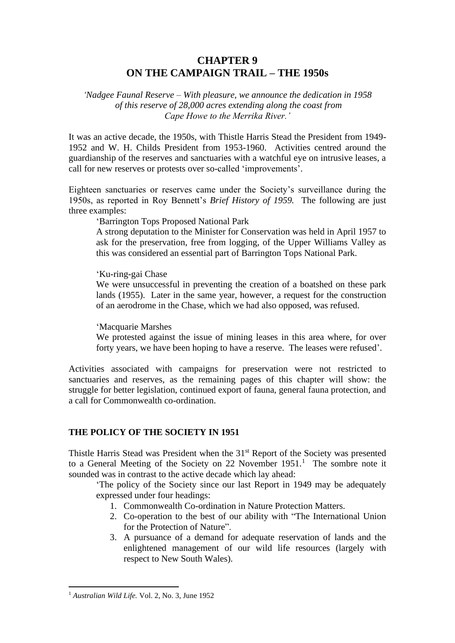# **CHAPTER 9 ON THE CAMPAIGN TRAIL – THE 1950s**

*'Nadgee Faunal Reserve – With pleasure, we announce the dedication in 1958 of this reserve of 28,000 acres extending along the coast from Cape Howe to the Merrika River.'*

It was an active decade, the 1950s, with Thistle Harris Stead the President from 1949- 1952 and W. H. Childs President from 1953-1960. Activities centred around the guardianship of the reserves and sanctuaries with a watchful eye on intrusive leases, a call for new reserves or protests over so-called 'improvements'.

Eighteen sanctuaries or reserves came under the Society's surveillance during the 1950s, as reported in Roy Bennett's *Brief History of 1959.* The following are just three examples:

'Barrington Tops Proposed National Park

A strong deputation to the Minister for Conservation was held in April 1957 to ask for the preservation, free from logging, of the Upper Williams Valley as this was considered an essential part of Barrington Tops National Park.

'Ku-ring-gai Chase

We were unsuccessful in preventing the creation of a boatshed on these park lands (1955). Later in the same year, however, a request for the construction of an aerodrome in the Chase, which we had also opposed, was refused.

'Macquarie Marshes

We protested against the issue of mining leases in this area where, for over forty years, we have been hoping to have a reserve. The leases were refused'.

Activities associated with campaigns for preservation were not restricted to sanctuaries and reserves, as the remaining pages of this chapter will show: the struggle for better legislation, continued export of fauna, general fauna protection, and a call for Commonwealth co-ordination.

# **THE POLICY OF THE SOCIETY IN 1951**

Thistle Harris Stead was President when the 31<sup>st</sup> Report of the Society was presented to a General Meeting of the Society on 22 November  $1951<sup>1</sup>$ . The sombre note it sounded was in contrast to the active decade which lay ahead:

'The policy of the Society since our last Report in 1949 may be adequately expressed under four headings:

- 1. Commonwealth Co-ordination in Nature Protection Matters.
- 2. Co-operation to the best of our ability with "The International Union for the Protection of Nature".
- 3. A pursuance of a demand for adequate reservation of lands and the enlightened management of our wild life resources (largely with respect to New South Wales).

<sup>1</sup> *Australian Wild Life.* Vol. 2, No. 3, June 1952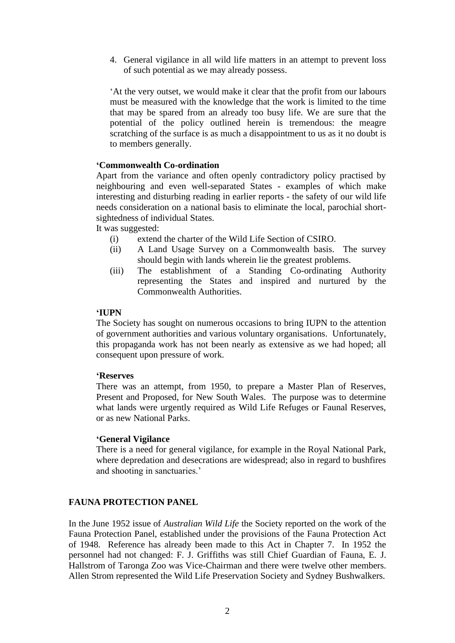4. General vigilance in all wild life matters in an attempt to prevent loss of such potential as we may already possess.

'At the very outset, we would make it clear that the profit from our labours must be measured with the knowledge that the work is limited to the time that may be spared from an already too busy life. We are sure that the potential of the policy outlined herein is tremendous: the meagre scratching of the surface is as much a disappointment to us as it no doubt is to members generally.

### **'Commonwealth Co-ordination**

Apart from the variance and often openly contradictory policy practised by neighbouring and even well-separated States - examples of which make interesting and disturbing reading in earlier reports - the safety of our wild life needs consideration on a national basis to eliminate the local, parochial shortsightedness of individual States.

It was suggested:

- (i) extend the charter of the Wild Life Section of CSIRO.
- (ii) A Land Usage Survey on a Commonwealth basis. The survey should begin with lands wherein lie the greatest problems.
- (iii) The establishment of a Standing Co-ordinating Authority representing the States and inspired and nurtured by the Commonwealth Authorities.

### **'IUPN**

The Society has sought on numerous occasions to bring IUPN to the attention of government authorities and various voluntary organisations. Unfortunately, this propaganda work has not been nearly as extensive as we had hoped; all consequent upon pressure of work.

#### **'Reserves**

There was an attempt, from 1950, to prepare a Master Plan of Reserves, Present and Proposed, for New South Wales. The purpose was to determine what lands were urgently required as Wild Life Refuges or Faunal Reserves, or as new National Parks.

#### **'General Vigilance**

There is a need for general vigilance, for example in the Royal National Park, where depredation and desecrations are widespread; also in regard to bushfires and shooting in sanctuaries.'

# **FAUNA PROTECTION PANEL**

In the June 1952 issue of *Australian Wild Life* the Society reported on the work of the Fauna Protection Panel, established under the provisions of the Fauna Protection Act of 1948. Reference has already been made to this Act in Chapter 7. In 1952 the personnel had not changed: F. J. Griffiths was still Chief Guardian of Fauna, E. J. Hallstrom of Taronga Zoo was Vice-Chairman and there were twelve other members. Allen Strom represented the Wild Life Preservation Society and Sydney Bushwalkers.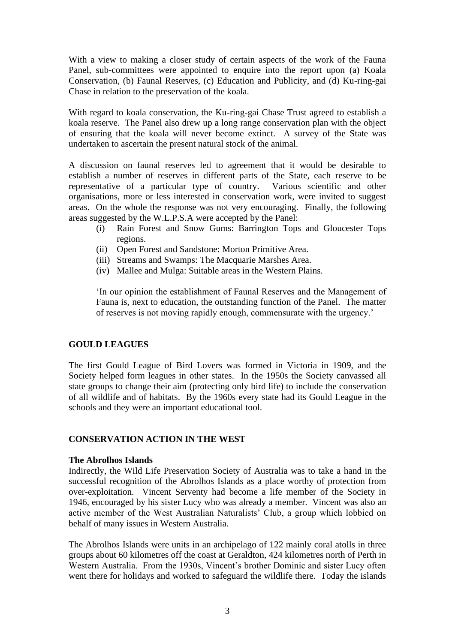With a view to making a closer study of certain aspects of the work of the Fauna Panel, sub-committees were appointed to enquire into the report upon (a) Koala Conservation, (b) Faunal Reserves, (c) Education and Publicity, and (d) Ku-ring-gai Chase in relation to the preservation of the koala.

With regard to koala conservation, the Ku-ring-gai Chase Trust agreed to establish a koala reserve. The Panel also drew up a long range conservation plan with the object of ensuring that the koala will never become extinct. A survey of the State was undertaken to ascertain the present natural stock of the animal.

A discussion on faunal reserves led to agreement that it would be desirable to establish a number of reserves in different parts of the State, each reserve to be representative of a particular type of country. Various scientific and other organisations, more or less interested in conservation work, were invited to suggest areas. On the whole the response was not very encouraging. Finally, the following areas suggested by the W.L.P.S.A were accepted by the Panel:

- (i) Rain Forest and Snow Gums: Barrington Tops and Gloucester Tops regions.
- (ii) Open Forest and Sandstone: Morton Primitive Area.
- (iii) Streams and Swamps: The Macquarie Marshes Area.
- (iv) Mallee and Mulga: Suitable areas in the Western Plains.

'In our opinion the establishment of Faunal Reserves and the Management of Fauna is, next to education, the outstanding function of the Panel. The matter of reserves is not moving rapidly enough, commensurate with the urgency.'

# **GOULD LEAGUES**

The first Gould League of Bird Lovers was formed in Victoria in 1909, and the Society helped form leagues in other states. In the 1950s the Society canvassed all state groups to change their aim (protecting only bird life) to include the conservation of all wildlife and of habitats. By the 1960s every state had its Gould League in the schools and they were an important educational tool.

# **CONSERVATION ACTION IN THE WEST**

#### **The Abrolhos Islands**

Indirectly, the Wild Life Preservation Society of Australia was to take a hand in the successful recognition of the Abrolhos Islands as a place worthy of protection from over-exploitation. Vincent Serventy had become a life member of the Society in 1946, encouraged by his sister Lucy who was already a member. Vincent was also an active member of the West Australian Naturalists' Club, a group which lobbied on behalf of many issues in Western Australia.

The Abrolhos Islands were units in an archipelago of 122 mainly coral atolls in three groups about 60 kilometres off the coast at Geraldton, 424 kilometres north of Perth in Western Australia. From the 1930s, Vincent's brother Dominic and sister Lucy often went there for holidays and worked to safeguard the wildlife there. Today the islands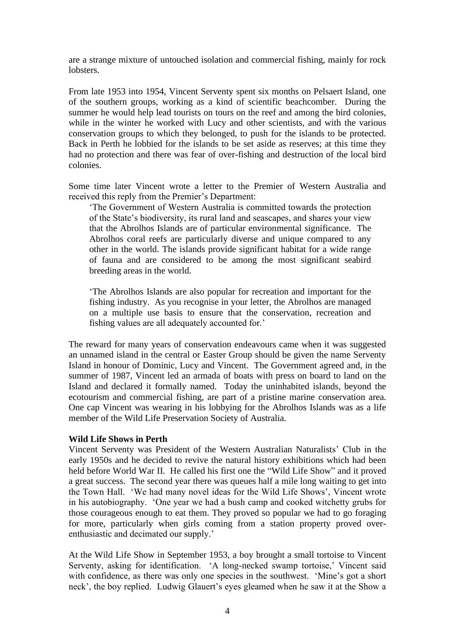are a strange mixture of untouched isolation and commercial fishing, mainly for rock lobsters.

From late 1953 into 1954, Vincent Serventy spent six months on Pelsaert Island, one of the southern groups, working as a kind of scientific beachcomber. During the summer he would help lead tourists on tours on the reef and among the bird colonies, while in the winter he worked with Lucy and other scientists, and with the various conservation groups to which they belonged, to push for the islands to be protected. Back in Perth he lobbied for the islands to be set aside as reserves; at this time they had no protection and there was fear of over-fishing and destruction of the local bird colonies.

Some time later Vincent wrote a letter to the Premier of Western Australia and received this reply from the Premier's Department:

'The Government of Western Australia is committed towards the protection of the State's biodiversity, its rural land and seascapes, and shares your view that the Abrolhos Islands are of particular environmental significance. The Abrolhos coral reefs are particularly diverse and unique compared to any other in the world. The islands provide significant habitat for a wide range of fauna and are considered to be among the most significant seabird breeding areas in the world.

'The Abrolhos Islands are also popular for recreation and important for the fishing industry. As you recognise in your letter, the Abrolhos are managed on a multiple use basis to ensure that the conservation, recreation and fishing values are all adequately accounted for.'

The reward for many years of conservation endeavours came when it was suggested an unnamed island in the central or Easter Group should be given the name Serventy Island in honour of Dominic, Lucy and Vincent. The Government agreed and, in the summer of 1987, Vincent led an armada of boats with press on board to land on the Island and declared it formally named. Today the uninhabited islands, beyond the ecotourism and commercial fishing, are part of a pristine marine conservation area. One cap Vincent was wearing in his lobbying for the Abrolhos Islands was as a life member of the Wild Life Preservation Society of Australia.

#### **Wild Life Shows in Perth**

Vincent Serventy was President of the Western Australian Naturalists' Club in the early 1950s and he decided to revive the natural history exhibitions which had been held before World War II. He called his first one the "Wild Life Show" and it proved a great success. The second year there was queues half a mile long waiting to get into the Town Hall. 'We had many novel ideas for the Wild Life Shows', Vincent wrote in his autobiography. 'One year we had a bush camp and cooked witchetty grubs for those courageous enough to eat them. They proved so popular we had to go foraging for more, particularly when girls coming from a station property proved overenthusiastic and decimated our supply.'

At the Wild Life Show in September 1953, a boy brought a small tortoise to Vincent Serventy, asking for identification. 'A long-necked swamp tortoise,' Vincent said with confidence, as there was only one species in the southwest. 'Mine's got a short neck', the boy replied. Ludwig Glauert's eyes gleamed when he saw it at the Show a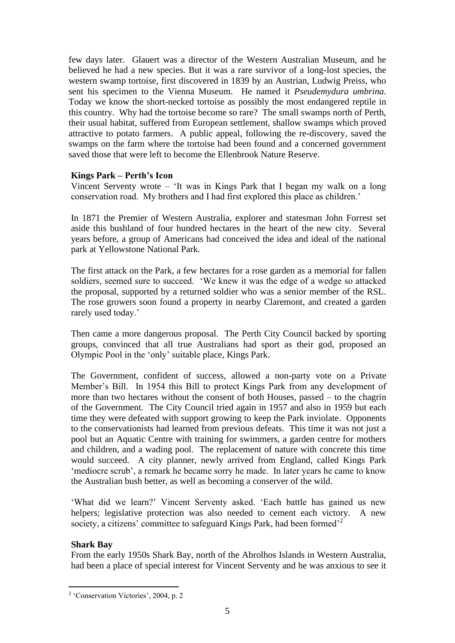few days later. Glauert was a director of the Western Australian Museum, and he believed he had a new species. But it was a rare survivor of a long-lost species, the western swamp tortoise, first discovered in 1839 by an Austrian, Ludwig Preiss, who sent his specimen to the Vienna Museum. He named it *Pseudemydura umbrina.* Today we know the short-necked tortoise as possibly the most endangered reptile in this country. Why had the tortoise become so rare? The small swamps north of Perth, their usual habitat, suffered from European settlement, shallow swamps which proved attractive to potato farmers. A public appeal, following the re-discovery, saved the swamps on the farm where the tortoise had been found and a concerned government saved those that were left to become the Ellenbrook Nature Reserve.

# **Kings Park – Perth's Icon**

Vincent Serventy wrote – 'It was in Kings Park that I began my walk on a long conservation road. My brothers and I had first explored this place as children.'

In 1871 the Premier of Western Australia, explorer and statesman John Forrest set aside this bushland of four hundred hectares in the heart of the new city. Several years before, a group of Americans had conceived the idea and ideal of the national park at Yellowstone National Park.

The first attack on the Park, a few hectares for a rose garden as a memorial for fallen soldiers, seemed sure to succeed. 'We knew it was the edge of a wedge so attacked the proposal, supported by a returned soldier who was a senior member of the RSL. The rose growers soon found a property in nearby Claremont, and created a garden rarely used today.'

Then came a more dangerous proposal. The Perth City Council backed by sporting groups, convinced that all true Australians had sport as their god, proposed an Olympic Pool in the 'only' suitable place, Kings Park.

The Government, confident of success, allowed a non-party vote on a Private Member's Bill. In 1954 this Bill to protect Kings Park from any development of more than two hectares without the consent of both Houses, passed – to the chagrin of the Government. The City Council tried again in 1957 and also in 1959 but each time they were defeated with support growing to keep the Park inviolate. Opponents to the conservationists had learned from previous defeats. This time it was not just a pool but an Aquatic Centre with training for swimmers, a garden centre for mothers and children, and a wading pool. The replacement of nature with concrete this time would succeed. A city planner, newly arrived from England, called Kings Park 'mediocre scrub', a remark he became sorry he made. In later years he came to know the Australian bush better, as well as becoming a conserver of the wild.

'What did we learn?' Vincent Serventy asked. 'Each battle has gained us new helpers; legislative protection was also needed to cement each victory. A new society, a citizens' committee to safeguard Kings Park, had been formed<sup>'2</sup>

# **Shark Bay**

From the early 1950s Shark Bay, north of the Abrolhos Islands in Western Australia, had been a place of special interest for Vincent Serventy and he was anxious to see it

<sup>2</sup> 'Conservation Victories', 2004, p. 2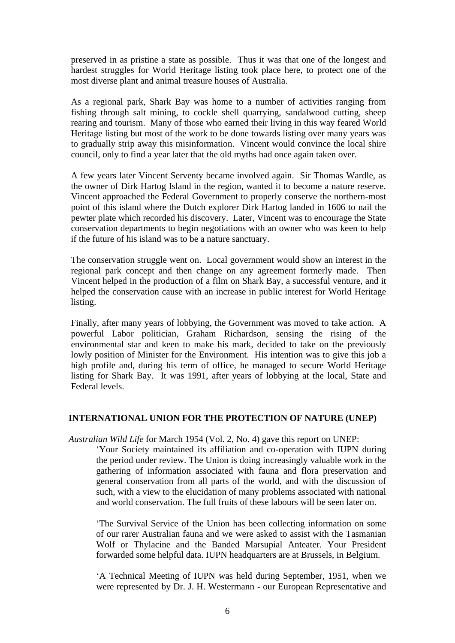preserved in as pristine a state as possible. Thus it was that one of the longest and hardest struggles for World Heritage listing took place here, to protect one of the most diverse plant and animal treasure houses of Australia.

As a regional park, Shark Bay was home to a number of activities ranging from fishing through salt mining, to cockle shell quarrying, sandalwood cutting, sheep rearing and tourism. Many of those who earned their living in this way feared World Heritage listing but most of the work to be done towards listing over many years was to gradually strip away this misinformation. Vincent would convince the local shire council, only to find a year later that the old myths had once again taken over.

A few years later Vincent Serventy became involved again. Sir Thomas Wardle, as the owner of Dirk Hartog Island in the region, wanted it to become a nature reserve. Vincent approached the Federal Government to properly conserve the northern-most point of this island where the Dutch explorer Dirk Hartog landed in 1606 to nail the pewter plate which recorded his discovery. Later, Vincent was to encourage the State conservation departments to begin negotiations with an owner who was keen to help if the future of his island was to be a nature sanctuary.

The conservation struggle went on. Local government would show an interest in the regional park concept and then change on any agreement formerly made. Then Vincent helped in the production of a film on Shark Bay, a successful venture, and it helped the conservation cause with an increase in public interest for World Heritage listing.

Finally, after many years of lobbying, the Government was moved to take action. A powerful Labor politician, Graham Richardson, sensing the rising of the environmental star and keen to make his mark, decided to take on the previously lowly position of Minister for the Environment. His intention was to give this job a high profile and, during his term of office, he managed to secure World Heritage listing for Shark Bay. It was 1991, after years of lobbying at the local, State and Federal levels.

# **INTERNATIONAL UNION FOR THE PROTECTION OF NATURE (UNEP)**

*Australian Wild Life* for March 1954 (Vol. 2, No. 4) gave this report on UNEP:

'Your Society maintained its affiliation and co-operation with IUPN during the period under review. The Union is doing increasingly valuable work in the gathering of information associated with fauna and flora preservation and general conservation from all parts of the world, and with the discussion of such, with a view to the elucidation of many problems associated with national and world conservation. The full fruits of these labours will be seen later on.

'The Survival Service of the Union has been collecting information on some of our rarer Australian fauna and we were asked to assist with the Tasmanian Wolf or Thylacine and the Banded Marsupial Anteater. Your President forwarded some helpful data. IUPN headquarters are at Brussels, in Belgium.

'A Technical Meeting of IUPN was held during September, 1951, when we were represented by Dr. J. H. Westermann - our European Representative and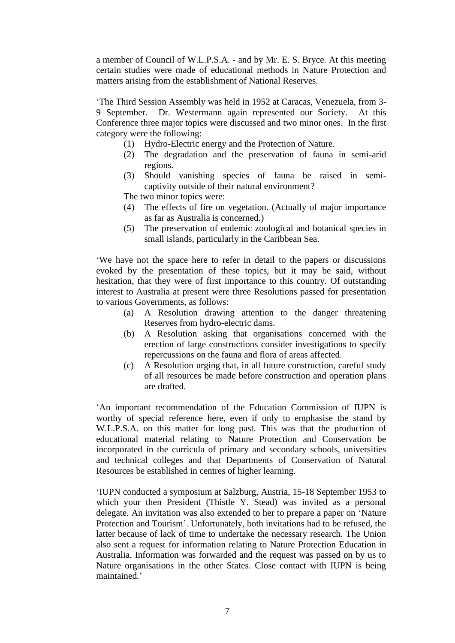a member of Council of W.L.P.S.A. - and by Mr. E. S. Bryce. At this meeting certain studies were made of educational methods in Nature Protection and matters arising from the establishment of National Reserves.

'The Third Session Assembly was held in 1952 at Caracas, Venezuela, from 3- 9 September. Dr. Westermann again represented our Society. At this Conference three major topics were discussed and two minor ones. In the first category were the following:

- (1) Hydro-Electric energy and the Protection of Nature.
- (2) The degradation and the preservation of fauna in semi-arid regions.
- (3) Should vanishing species of fauna be raised in semicaptivity outside of their natural environment?

The two minor topics were:

- (4) The effects of fire on vegetation. (Actually of major importance as far as Australia is concerned.)
- (5) The preservation of endemic zoological and botanical species in small islands, particularly in the Caribbean Sea.

'We have not the space here to refer in detail to the papers or discussions evoked by the presentation of these topics, but it may be said, without hesitation, that they were of first importance to this country. Of outstanding interest to Australia at present were three Resolutions passed for presentation to various Governments, as follows:

- (a) A Resolution drawing attention to the danger threatening Reserves from hydro-electric dams.
- (b) A Resolution asking that organisations concerned with the erection of large constructions consider investigations to specify repercussions on the fauna and flora of areas affected.
- (c) A Resolution urging that, in all future construction, careful study of all resources be made before construction and operation plans are drafted.

'An important recommendation of the Education Commission of IUPN is worthy of special reference here, even if only to emphasise the stand by W.L.P.S.A. on this matter for long past. This was that the production of educational material relating to Nature Protection and Conservation be incorporated in the curricula of primary and secondary schools, universities and technical colleges and that Departments of Conservation of Natural Resources be established in centres of higher learning.

'IUPN conducted a symposium at Salzburg, Austria, 15-18 September 1953 to which your then President (Thistle Y. Stead) was invited as a personal delegate. An invitation was also extended to her to prepare a paper on 'Nature Protection and Tourism'. Unfortunately, both invitations had to be refused, the latter because of lack of time to undertake the necessary research. The Union also sent a request for information relating to Nature Protection Education in Australia. Information was forwarded and the request was passed on by us to Nature organisations in the other States. Close contact with IUPN is being maintained.'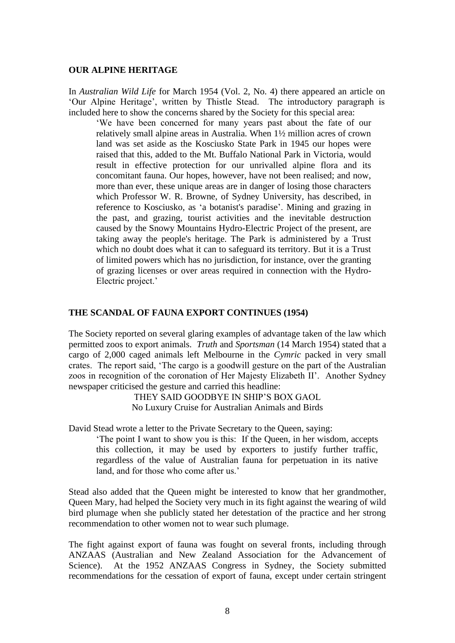#### **OUR ALPINE HERITAGE**

In *Australian Wild Life* for March 1954 (Vol. 2, No. 4) there appeared an article on 'Our Alpine Heritage', written by Thistle Stead. The introductory paragraph is included here to show the concerns shared by the Society for this special area:

'We have been concerned for many years past about the fate of our relatively small alpine areas in Australia. When 1½ million acres of crown land was set aside as the Kosciusko State Park in 1945 our hopes were raised that this, added to the Mt. Buffalo National Park in Victoria, would result in effective protection for our unrivalled alpine flora and its concomitant fauna. Our hopes, however, have not been realised; and now, more than ever, these unique areas are in danger of losing those characters which Professor W. R. Browne, of Sydney University, has described, in reference to Kosciusko, as 'a botanist's paradise'. Mining and grazing in the past, and grazing, tourist activities and the inevitable destruction caused by the Snowy Mountains Hydro-Electric Project of the present, are taking away the people's heritage. The Park is administered by a Trust which no doubt does what it can to safeguard its territory. But it is a Trust of limited powers which has no jurisdiction, for instance, over the granting of grazing licenses or over areas required in connection with the Hydro-Electric project.'

#### **THE SCANDAL OF FAUNA EXPORT CONTINUES (1954)**

The Society reported on several glaring examples of advantage taken of the law which permitted zoos to export animals. *Truth* and *Sportsman* (14 March 1954) stated that a cargo of 2,000 caged animals left Melbourne in the *Cymric* packed in very small crates. The report said, 'The cargo is a goodwill gesture on the part of the Australian zoos in recognition of the coronation of Her Majesty Elizabeth II'. Another Sydney newspaper criticised the gesture and carried this headline:

> THEY SAID GOODBYE IN SHIP'S BOX GAOL No Luxury Cruise for Australian Animals and Birds

David Stead wrote a letter to the Private Secretary to the Queen, saying:

'The point I want to show you is this: If the Queen, in her wisdom, accepts this collection, it may be used by exporters to justify further traffic, regardless of the value of Australian fauna for perpetuation in its native land, and for those who come after us.'

Stead also added that the Queen might be interested to know that her grandmother, Queen Mary, had helped the Society very much in its fight against the wearing of wild bird plumage when she publicly stated her detestation of the practice and her strong recommendation to other women not to wear such plumage.

The fight against export of fauna was fought on several fronts, including through ANZAAS (Australian and New Zealand Association for the Advancement of Science). At the 1952 ANZAAS Congress in Sydney, the Society submitted recommendations for the cessation of export of fauna, except under certain stringent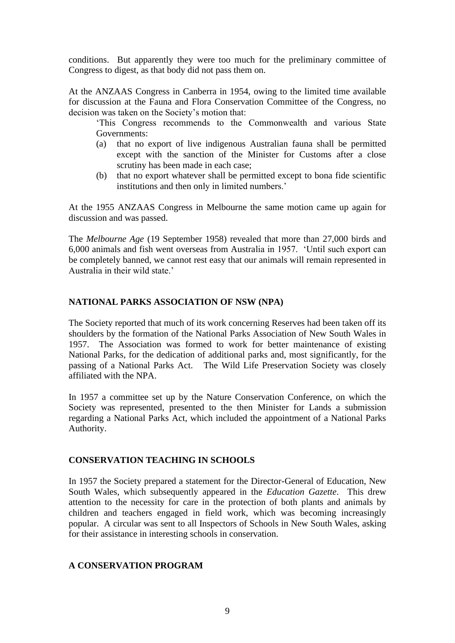conditions. But apparently they were too much for the preliminary committee of Congress to digest, as that body did not pass them on.

At the ANZAAS Congress in Canberra in 1954, owing to the limited time available for discussion at the Fauna and Flora Conservation Committee of the Congress, no decision was taken on the Society's motion that:

'This Congress recommends to the Commonwealth and various State Governments:

- (a) that no export of live indigenous Australian fauna shall be permitted except with the sanction of the Minister for Customs after a close scrutiny has been made in each case;
- (b) that no export whatever shall be permitted except to bona fide scientific institutions and then only in limited numbers.'

At the 1955 ANZAAS Congress in Melbourne the same motion came up again for discussion and was passed.

The *Melbourne Age* (19 September 1958) revealed that more than 27,000 birds and 6,000 animals and fish went overseas from Australia in 1957. 'Until such export can be completely banned, we cannot rest easy that our animals will remain represented in Australia in their wild state.'

# **NATIONAL PARKS ASSOCIATION OF NSW (NPA)**

The Society reported that much of its work concerning Reserves had been taken off its shoulders by the formation of the National Parks Association of New South Wales in 1957. The Association was formed to work for better maintenance of existing National Parks, for the dedication of additional parks and, most significantly, for the passing of a National Parks Act. The Wild Life Preservation Society was closely affiliated with the NPA.

In 1957 a committee set up by the Nature Conservation Conference, on which the Society was represented, presented to the then Minister for Lands a submission regarding a National Parks Act, which included the appointment of a National Parks Authority.

# **CONSERVATION TEACHING IN SCHOOLS**

In 1957 the Society prepared a statement for the Director-General of Education, New South Wales, which subsequently appeared in the *Education Gazette*. This drew attention to the necessity for care in the protection of both plants and animals by children and teachers engaged in field work, which was becoming increasingly popular. A circular was sent to all Inspectors of Schools in New South Wales, asking for their assistance in interesting schools in conservation.

# **A CONSERVATION PROGRAM**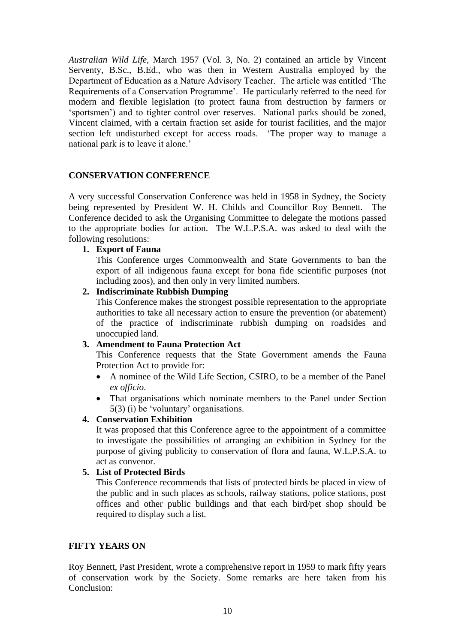*Australian Wild Life,* March 1957 (Vol. 3, No. 2) contained an article by Vincent Serventy, B.Sc., B.Ed., who was then in Western Australia employed by the Department of Education as a Nature Advisory Teacher. The article was entitled 'The Requirements of a Conservation Programme'. He particularly referred to the need for modern and flexible legislation (to protect fauna from destruction by farmers or 'sportsmen') and to tighter control over reserves. National parks should be zoned, Vincent claimed, with a certain fraction set aside for tourist facilities, and the major section left undisturbed except for access roads. 'The proper way to manage a national park is to leave it alone.'

# **CONSERVATION CONFERENCE**

A very successful Conservation Conference was held in 1958 in Sydney, the Society being represented by President W. H. Childs and Councillor Roy Bennett. The Conference decided to ask the Organising Committee to delegate the motions passed to the appropriate bodies for action. The W.L.P.S.A. was asked to deal with the following resolutions:

# **1. Export of Fauna**

This Conference urges Commonwealth and State Governments to ban the export of all indigenous fauna except for bona fide scientific purposes (not including zoos), and then only in very limited numbers.

# **2. Indiscriminate Rubbish Dumping**

This Conference makes the strongest possible representation to the appropriate authorities to take all necessary action to ensure the prevention (or abatement) of the practice of indiscriminate rubbish dumping on roadsides and unoccupied land.

# **3. Amendment to Fauna Protection Act**

This Conference requests that the State Government amends the Fauna Protection Act to provide for:

- A nominee of the Wild Life Section, CSIRO, to be a member of the Panel *ex officio*.
- That organisations which nominate members to the Panel under Section 5(3) (i) be 'voluntary' organisations.

# **4. Conservation Exhibition**

It was proposed that this Conference agree to the appointment of a committee to investigate the possibilities of arranging an exhibition in Sydney for the purpose of giving publicity to conservation of flora and fauna, W.L.P.S.A. to act as convenor.

# **5. List of Protected Birds**

This Conference recommends that lists of protected birds be placed in view of the public and in such places as schools, railway stations, police stations, post offices and other public buildings and that each bird/pet shop should be required to display such a list.

# **FIFTY YEARS ON**

Roy Bennett, Past President, wrote a comprehensive report in 1959 to mark fifty years of conservation work by the Society. Some remarks are here taken from his Conclusion: